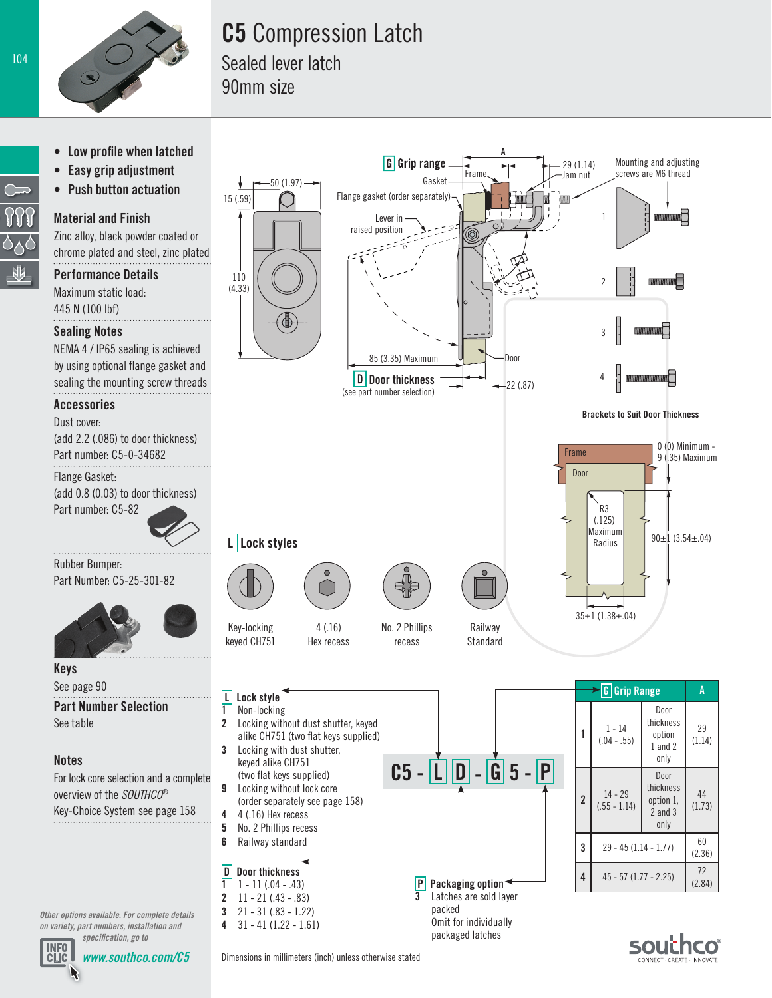

## C5 Compression Latch

Sealed lever latch 90mm size